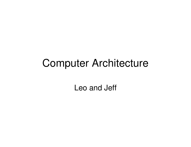#### Computer Architecture

Leo and Jeff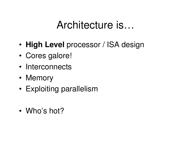### Architecture is…

- •**High Level** processor / ISA design
- •Cores galore!
- •**Interconnects**
- •**Memory**
- •Exploiting parallelism
- •Who's hot?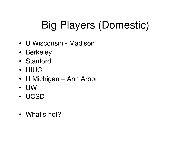# Big Players (Domestic)

- U Wisconsin Madison
- Berkeley
- Stanford
- UIUC
- U Michigan Ann Arbor
- UW
- UCSD
- What's hot?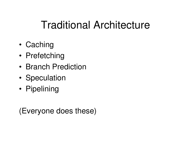# Traditional Architecture

- •**Caching**
- •Prefetching
- •Branch Prediction
- •**Speculation**
- •**Pipelining**

(Everyone does these)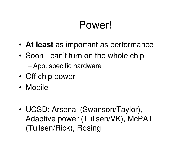# Power!

- •**At least** as important as performance
- • Soon - can't turn on the whole chip
	- –App. specific hardware
- •Off chip power
- •**Mobile**
- • UCSD: Arsenal (Swanson/Taylor), Adaptive power (Tullsen/VK), McPAT (Tullsen/Rick), Rosing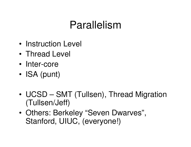## Parallelism

- •Instruction Level
- •Thread Level
- •Inter-core
- •ISA (punt)
- • UCSD – SMT (Tullsen), Thread Migration (Tullsen/Jeff)
- • Others: Berkeley "Seven Dwarves", Stanford, UIUC, (everyone!)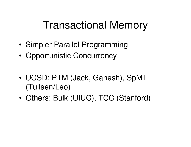### Transactional Memory

- •Simpler Parallel Programming
- •Opportunistic Concurrency
- • UCSD: PTM (Jack, Ganesh), SpMT(Tullsen/Leo)
- •Others: Bulk (UIUC), TCC (Stanford)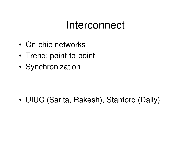#### Interconnect

- •On-chip networks
- •Trend: point-to-point
- •**Synchronization**

•UIUC (Sarita, Rakesh), Stanford (Dally)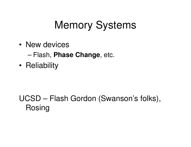# Memory Systems

- • New devices
	- –Flash, **Phase Change**, etc.
- •**Reliability**

#### UCSD – Flash Gordon (Swanson's folks), Rosing